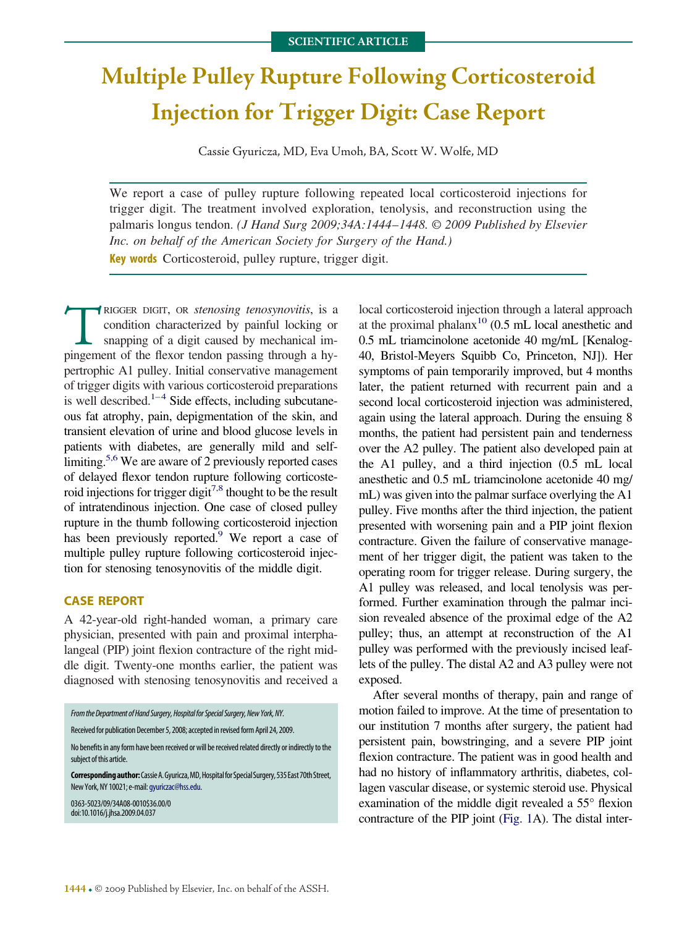## **Multiple Pulley Rupture Following Corticosteroid Injection for Trigger Digit: Case Report**

Cassie Gyuricza, MD, Eva Umoh, BA, Scott W. Wolfe, MD

We report a case of pulley rupture following repeated local corticosteroid injections for trigger digit. The treatment involved exploration, tenolysis, and reconstruction using the palmaris longus tendon. *(J Hand Surg 2009;34A:1444*–*1448. © 2009 Published by Elsevier Inc. on behalf of the American Society for Surgery of the Hand.)* **Key words** Corticosteroid, pulley rupture, trigger digit.

RIGGER DIGIT, OR *stenosing tenosynovitis*, is a condition characterized by painful locking or snapping of a digit caused by mechanical impingement of the flexor tendon passing through a hycondition characterized by painful locking or snapping of a digit caused by mechanical impertrophic A1 pulley. Initial conservative management of trigger digits with various corticosteroid preparations is well described.<sup>1–4</sup> Side effects, including subcutaneous fat atrophy, pain, depigmentation of the skin, and transient elevation of urine and blood glucose levels in patients with diabetes, are generally mild and selflimiting.<sup>5,6</sup> We are aware of 2 previously reported cases of delayed flexor tendon rupture following corticosteroid injections for trigger digit<sup>7,8</sup> thought to be the result of intratendinous injection. One case of closed pulley rupture in the thumb following corticosteroid injection has been previously reported.<sup>9</sup> We report a case of multiple pulley rupture following corticosteroid injection for stenosing tenosynovitis of the middle digit.

## **CASE REPORT**

A 42-year-old right-handed woman, a primary care physician, presented with pain and proximal interphalangeal (PIP) joint flexion contracture of the right middle digit. Twenty-one months earlier, the patient was diagnosed with stenosing tenosynovitis and received a

| From the Department of Hand Surgery, Hospital for Special Surgery, New York, NY.                                                                    |
|-----------------------------------------------------------------------------------------------------------------------------------------------------|
| Received for publication December 5, 2008; accepted in revised form April 24, 2009.                                                                 |
| No benefits in any form have been received or will be received related directly or indirectly to the<br>subject of this article.                    |
| Corresponding author: Cassie A. Gyuricza, MD, Hospital for Special Surgery, 535 East 70th Street,<br>New York, NY 10021; e-mail: gyuriczac@hss.edu. |
| 0363-5023/09/34A08-0010\$36.00/0<br>doi:10.1016/j.jhsa.2009.04.037                                                                                  |
|                                                                                                                                                     |

local corticosteroid injection through a lateral approach at the proximal phalanx<sup>10</sup> (0.5 mL local anesthetic and 0.5 mL triamcinolone acetonide 40 mg/mL [Kenalog-40, Bristol-Meyers Squibb Co, Princeton, NJ]). Her symptoms of pain temporarily improved, but 4 months later, the patient returned with recurrent pain and a second local corticosteroid injection was administered, again using the lateral approach. During the ensuing 8 months, the patient had persistent pain and tenderness over the A2 pulley. The patient also developed pain at the A1 pulley, and a third injection (0.5 mL local anesthetic and 0.5 mL triamcinolone acetonide 40 mg/ mL) was given into the palmar surface overlying the A1 pulley. Five months after the third injection, the patient presented with worsening pain and a PIP joint flexion contracture. Given the failure of conservative management of her trigger digit, the patient was taken to the operating room for trigger release. During surgery, the A1 pulley was released, and local tenolysis was performed. Further examination through the palmar incision revealed absence of the proximal edge of the A2 pulley; thus, an attempt at reconstruction of the A1 pulley was performed with the previously incised leaflets of the pulley. The distal A2 and A3 pulley were not exposed.

After several months of therapy, pain and range of motion failed to improve. At the time of presentation to our institution 7 months after surgery, the patient had persistent pain, bowstringing, and a severe PIP joint flexion contracture. The patient was in good health and had no history of inflammatory arthritis, diabetes, collagen vascular disease, or systemic steroid use. Physical examination of the middle digit revealed a 55° flexion contracture of the PIP joint [\(Fig. 1A](#page-1-0)). The distal inter-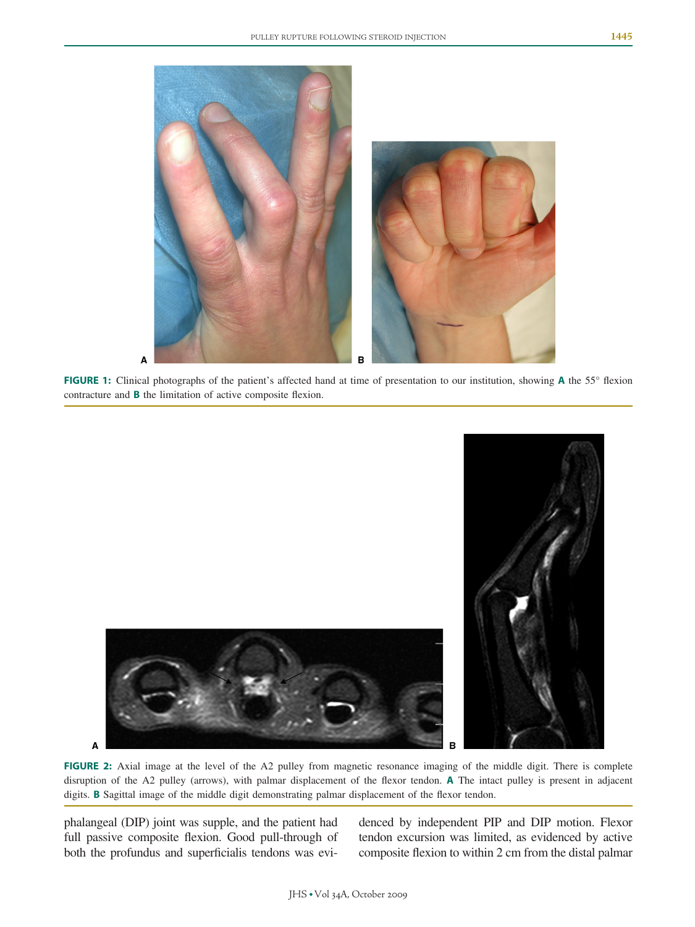<span id="page-1-0"></span>

**FIGURE 1:** Clinical photographs of the patient's affected hand at time of presentation to our institution, showing **A** the 55° flexion contracture and **B** the limitation of active composite flexion.





**FIGURE 2:** Axial image at the level of the A2 pulley from magnetic resonance imaging of the middle digit. There is complete disruption of the A2 pulley (arrows), with palmar displacement of the flexor tendon. **A** The intact pulley is present in adjacent digits. **B** Sagittal image of the middle digit demonstrating palmar displacement of the flexor tendon.

phalangeal (DIP) joint was supple, and the patient had full passive composite flexion. Good pull-through of both the profundus and superficialis tendons was evi-

A

denced by independent PIP and DIP motion. Flexor tendon excursion was limited, as evidenced by active composite flexion to within 2 cm from the distal palmar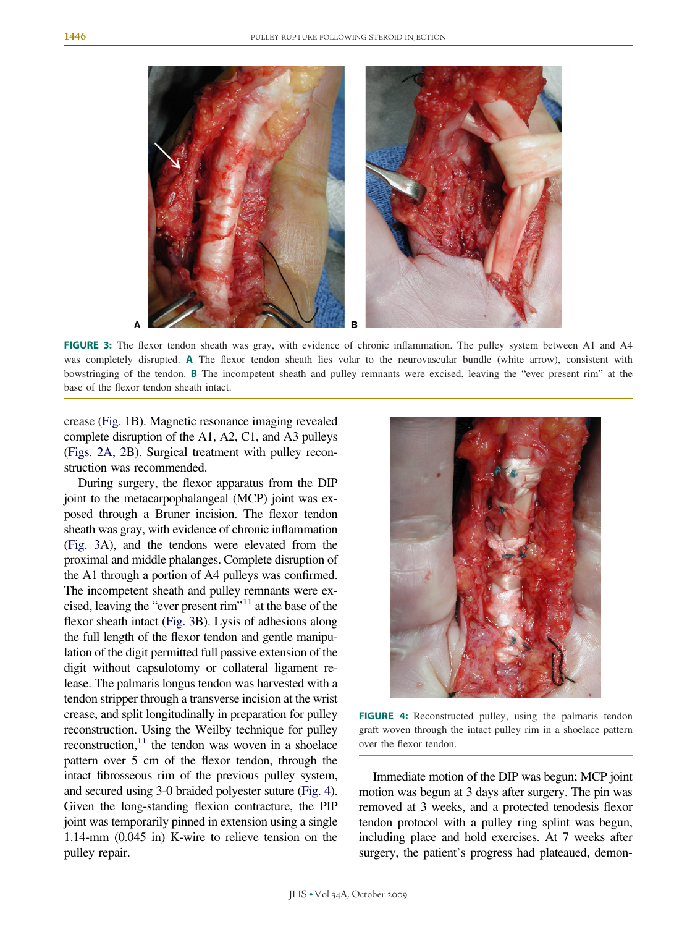

**FIGURE 3:** The flexor tendon sheath was gray, with evidence of chronic inflammation. The pulley system between A1 and A4 was completely disrupted. **A** The flexor tendon sheath lies volar to the neurovascular bundle (white arrow), consistent with bowstringing of the tendon. **B** The incompetent sheath and pulley remnants were excised, leaving the "ever present rim" at the base of the flexor tendon sheath intact.

crease [\(Fig. 1B](#page-1-0)). Magnetic resonance imaging revealed complete disruption of the A1, A2, C1, and A3 pulleys [\(Figs. 2A, 2B](#page-1-0)). Surgical treatment with pulley reconstruction was recommended.

During surgery, the flexor apparatus from the DIP joint to the metacarpophalangeal (MCP) joint was exposed through a Bruner incision. The flexor tendon sheath was gray, with evidence of chronic inflammation (Fig. 3A), and the tendons were elevated from the proximal and middle phalanges. Complete disruption of the A1 through a portion of A4 pulleys was confirmed. The incompetent sheath and pulley remnants were excised, leaving the "ever present rim["11](#page-4-0) at the base of the flexor sheath intact (Fig. 3B). Lysis of adhesions along the full length of the flexor tendon and gentle manipulation of the digit permitted full passive extension of the digit without capsulotomy or collateral ligament release. The palmaris longus tendon was harvested with a tendon stripper through a transverse incision at the wrist crease, and split longitudinally in preparation for pulley reconstruction. Using the Weilby technique for pulley reconstruction, $11$  the tendon was woven in a shoelace pattern over 5 cm of the flexor tendon, through the intact fibrosseous rim of the previous pulley system, and secured using 3-0 braided polyester suture (Fig. 4). Given the long-standing flexion contracture, the PIP joint was temporarily pinned in extension using a single 1.14-mm (0.045 in) K-wire to relieve tension on the pulley repair.



**FIGURE 4:** Reconstructed pulley, using the palmaris tendon graft woven through the intact pulley rim in a shoelace pattern over the flexor tendon.

Immediate motion of the DIP was begun; MCP joint motion was begun at 3 days after surgery. The pin was removed at 3 weeks, and a protected tenodesis flexor tendon protocol with a pulley ring splint was begun, including place and hold exercises. At 7 weeks after surgery, the patient's progress had plateaued, demon-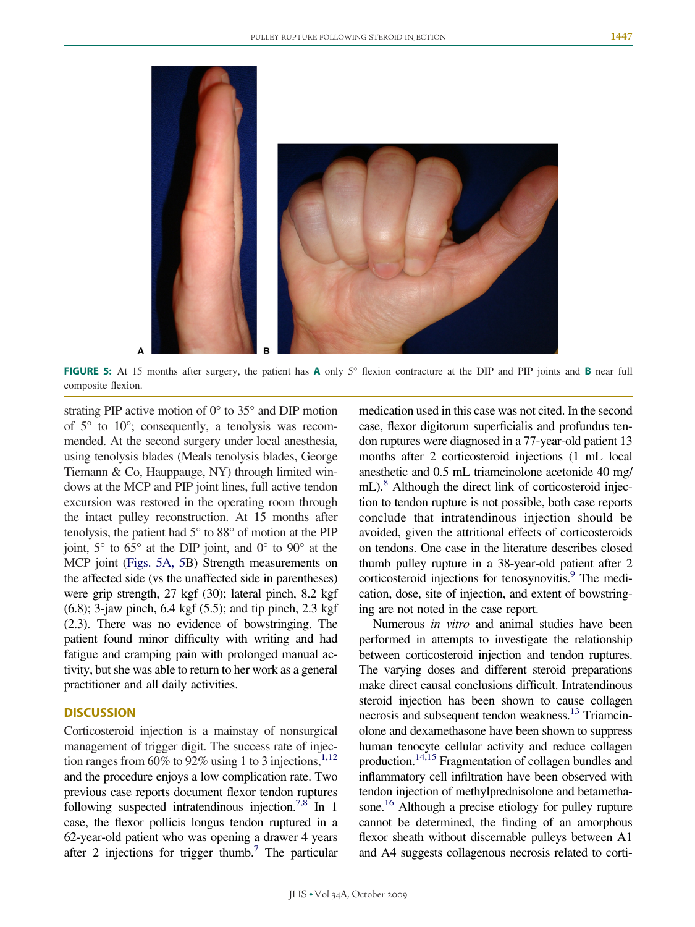

**FIGURE 5:** At 15 months after surgery, the patient has **A** only 5° flexion contracture at the DIP and PIP joints and **B** near full composite flexion.

strating PIP active motion of 0° to 35° and DIP motion of 5° to 10°; consequently, a tenolysis was recommended. At the second surgery under local anesthesia, using tenolysis blades (Meals tenolysis blades, George Tiemann & Co, Hauppauge, NY) through limited windows at the MCP and PIP joint lines, full active tendon excursion was restored in the operating room through the intact pulley reconstruction. At 15 months after tenolysis, the patient had 5° to 88° of motion at the PIP joint,  $5^\circ$  to  $65^\circ$  at the DIP joint, and  $0^\circ$  to  $90^\circ$  at the MCP joint (Figs. 5A, 5B) Strength measurements on the affected side (vs the unaffected side in parentheses) were grip strength, 27 kgf (30); lateral pinch, 8.2 kgf (6.8); 3-jaw pinch, 6.4 kgf (5.5); and tip pinch, 2.3 kgf (2.3). There was no evidence of bowstringing. The patient found minor difficulty with writing and had fatigue and cramping pain with prolonged manual activity, but she was able to return to her work as a general practitioner and all daily activities.

## **DISCUSSION**

Corticosteroid injection is a mainstay of nonsurgical management of trigger digit. The success rate of injection ranges from  $60\%$  to  $92\%$  using 1 to 3 injections,<sup>1,12</sup> and the procedure enjoys a low complication rate. Two previous case reports document flexor tendon ruptures following suspected intratendinous injection.<sup>7,8</sup> In 1 case, the flexor pollicis longus tendon ruptured in a 62-year-old patient who was opening a drawer 4 years after 2 injections for trigger thumb.<sup>7</sup> The particular medication used in this case was not cited. In the second case, flexor digitorum superficialis and profundus tendon ruptures were diagnosed in a 77-year-old patient 13 months after 2 corticosteroid injections (1 mL local anesthetic and 0.5 mL triamcinolone acetonide 40 mg/ mL).<sup>8</sup> Although the direct link of corticosteroid injection to tendon rupture is not possible, both case reports conclude that intratendinous injection should be avoided, given the attritional effects of corticosteroids on tendons. One case in the literature describes closed thumb pulley rupture in a 38-year-old patient after 2 corticosteroid injections for tenosynovitis.<sup>9</sup> The medication, dose, site of injection, and extent of bowstringing are not noted in the case report.

Numerous *in vitro* and animal studies have been performed in attempts to investigate the relationship between corticosteroid injection and tendon ruptures. The varying doses and different steroid preparations make direct causal conclusions difficult. Intratendinous steroid injection has been shown to cause collagen necrosis and subsequent tendon weakness.<sup>13</sup> Triamcinolone and dexamethasone have been shown to suppress human tenocyte cellular activity and reduce collagen production[.14,15](#page-4-0) Fragmentation of collagen bundles and inflammatory cell infiltration have been observed with tendon injection of methylprednisolone and betamethasone.<sup>16</sup> Although a precise etiology for pulley rupture cannot be determined, the finding of an amorphous flexor sheath without discernable pulleys between A1 and A4 suggests collagenous necrosis related to corti